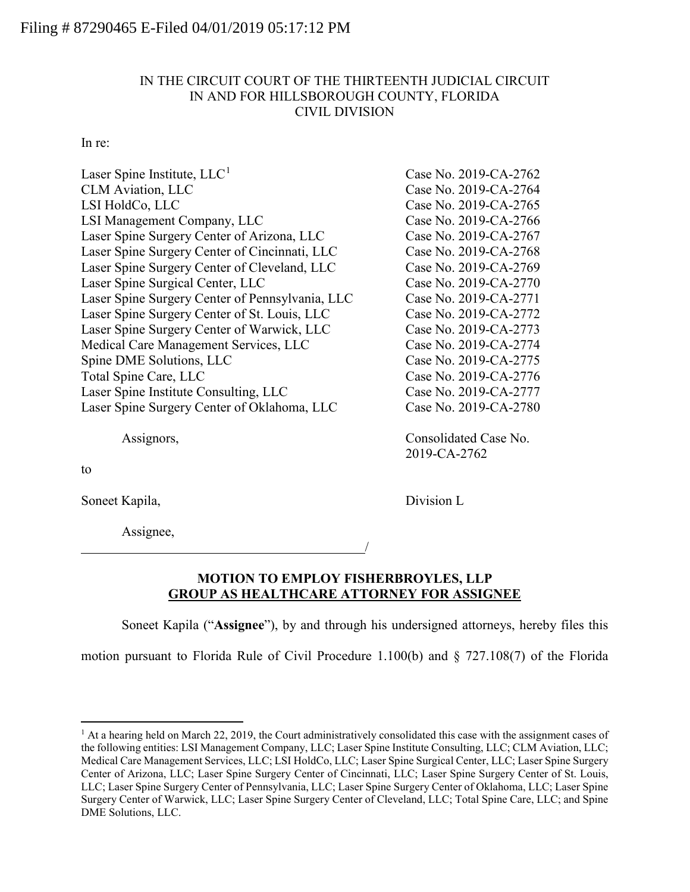# IN THE CIRCUIT COURT OF THE THIRTEENTH JUDICIAL CIRCUIT IN AND FOR HILLSBOROUGH COUNTY, FLORIDA CIVIL DIVISION

### In re:

| Laser Spine Institute, $LLC1$                   | Case No. 2019-CA-2762 |
|-------------------------------------------------|-----------------------|
| <b>CLM</b> Aviation, LLC                        | Case No. 2019-CA-2764 |
| LSI HoldCo, LLC                                 | Case No. 2019-CA-2765 |
| LSI Management Company, LLC                     | Case No. 2019-CA-2766 |
| Laser Spine Surgery Center of Arizona, LLC      | Case No. 2019-CA-2767 |
| Laser Spine Surgery Center of Cincinnati, LLC   | Case No. 2019-CA-2768 |
| Laser Spine Surgery Center of Cleveland, LLC    | Case No. 2019-CA-2769 |
| Laser Spine Surgical Center, LLC                | Case No. 2019-CA-2770 |
| Laser Spine Surgery Center of Pennsylvania, LLC | Case No. 2019-CA-2771 |
| Laser Spine Surgery Center of St. Louis, LLC    | Case No. 2019-CA-2772 |
| Laser Spine Surgery Center of Warwick, LLC      | Case No. 2019-CA-2773 |
| Medical Care Management Services, LLC           | Case No. 2019-CA-2774 |
| Spine DME Solutions, LLC                        | Case No. 2019-CA-2775 |
| Total Spine Care, LLC                           | Case No. 2019-CA-2776 |
| Laser Spine Institute Consulting, LLC           | Case No. 2019-CA-2777 |
| Laser Spine Surgery Center of Oklahoma, LLC     | Case No. 2019-CA-2780 |
|                                                 |                       |

Assignors, Consolidated Case No.

to

Soneet Kapila, Division L

Assignee,

2019-CA-2762

## **MOTION TO EMPLOY FISHERBROYLES, LLP GROUP AS HEALTHCARE ATTORNEY FOR ASSIGNEE**

Soneet Kapila ("**Assignee**"), by and through his undersigned attorneys, hereby files this

/

motion pursuant to Florida Rule of Civil Procedure 1.100(b) and § 727.108(7) of the Florida

<span id="page-0-0"></span> $<sup>1</sup>$  At a hearing held on March 22, 2019, the Court administratively consolidated this case with the assignment cases of</sup> the following entities: LSI Management Company, LLC; Laser Spine Institute Consulting, LLC; CLM Aviation, LLC; Medical Care Management Services, LLC; LSI HoldCo, LLC; Laser Spine Surgical Center, LLC; Laser Spine Surgery Center of Arizona, LLC; Laser Spine Surgery Center of Cincinnati, LLC; Laser Spine Surgery Center of St. Louis, LLC; Laser Spine Surgery Center of Pennsylvania, LLC; Laser Spine Surgery Center of Oklahoma, LLC; Laser Spine Surgery Center of Warwick, LLC; Laser Spine Surgery Center of Cleveland, LLC; Total Spine Care, LLC; and Spine DME Solutions, LLC.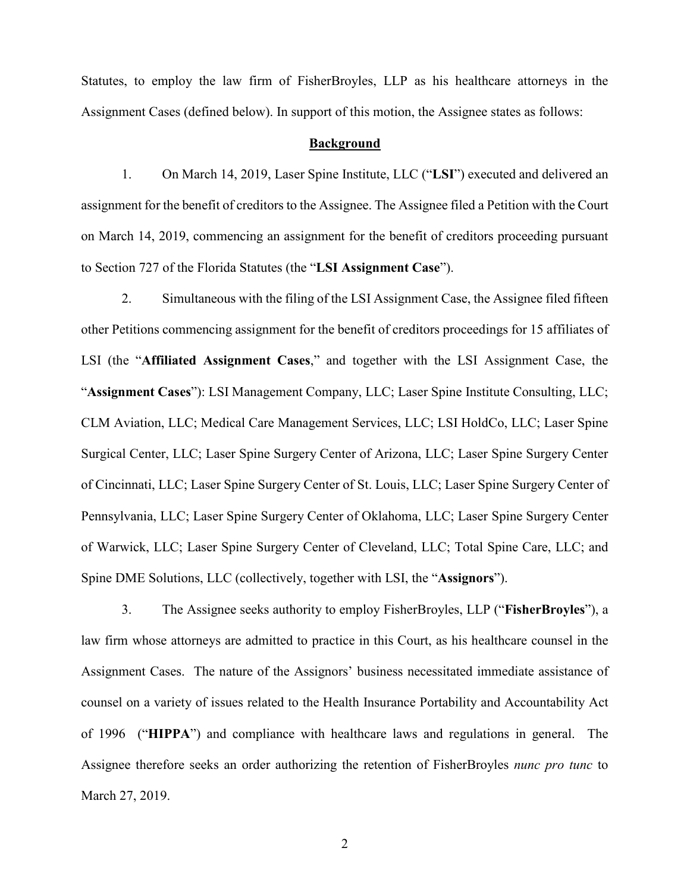Statutes, to employ the law firm of FisherBroyles, LLP as his healthcare attorneys in the Assignment Cases (defined below). In support of this motion, the Assignee states as follows:

#### **Background**

1. On March 14, 2019, Laser Spine Institute, LLC ("**LSI**") executed and delivered an assignment for the benefit of creditors to the Assignee. The Assignee filed a Petition with the Court on March 14, 2019, commencing an assignment for the benefit of creditors proceeding pursuant to Section 727 of the Florida Statutes (the "**LSI Assignment Case**").

2. Simultaneous with the filing of the LSI Assignment Case, the Assignee filed fifteen other Petitions commencing assignment for the benefit of creditors proceedings for 15 affiliates of LSI (the "**Affiliated Assignment Cases**," and together with the LSI Assignment Case, the "**Assignment Cases**"): LSI Management Company, LLC; Laser Spine Institute Consulting, LLC; CLM Aviation, LLC; Medical Care Management Services, LLC; LSI HoldCo, LLC; Laser Spine Surgical Center, LLC; Laser Spine Surgery Center of Arizona, LLC; Laser Spine Surgery Center of Cincinnati, LLC; Laser Spine Surgery Center of St. Louis, LLC; Laser Spine Surgery Center of Pennsylvania, LLC; Laser Spine Surgery Center of Oklahoma, LLC; Laser Spine Surgery Center of Warwick, LLC; Laser Spine Surgery Center of Cleveland, LLC; Total Spine Care, LLC; and Spine DME Solutions, LLC (collectively, together with LSI, the "**Assignors**").

3. The Assignee seeks authority to employ FisherBroyles, LLP ("**FisherBroyles**"), a law firm whose attorneys are admitted to practice in this Court, as his healthcare counsel in the Assignment Cases. The nature of the Assignors' business necessitated immediate assistance of counsel on a variety of issues related to the Health Insurance Portability and Accountability Act of 1996 ("**HIPPA**") and compliance with healthcare laws and regulations in general. The Assignee therefore seeks an order authorizing the retention of FisherBroyles *nunc pro tunc* to March 27, 2019.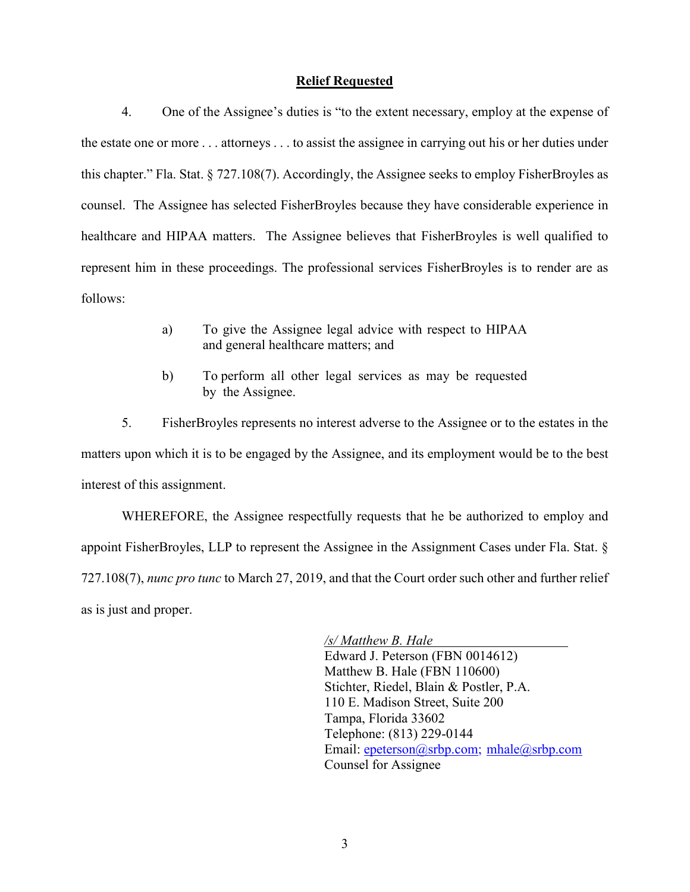### **Relief Requested**

4. One of the Assignee's duties is "to the extent necessary, employ at the expense of the estate one or more . . . attorneys . . . to assist the assignee in carrying out his or her duties under this chapter." Fla. Stat. § 727.108(7). Accordingly, the Assignee seeks to employ FisherBroyles as counsel. The Assignee has selected FisherBroyles because they have considerable experience in healthcare and HIPAA matters. The Assignee believes that FisherBroyles is well qualified to represent him in these proceedings. The professional services FisherBroyles is to render are as follows:

- a) To give the Assignee legal advice with respect to HIPAA and general healthcare matters; and
- b) To perform all other legal services as may be requested by the Assignee.

5. FisherBroyles represents no interest adverse to the Assignee or to the estates in the matters upon which it is to be engaged by the Assignee, and its employment would be to the best interest of this assignment.

WHEREFORE, the Assignee respectfully requests that he be authorized to employ and appoint FisherBroyles, LLP to represent the Assignee in the Assignment Cases under Fla. Stat. § 727.108(7), *nunc pro tunc* to March 27, 2019, and that the Court order such other and further relief as is just and proper.

> */s/ Matthew B. Hale* Edward J. Peterson (FBN 0014612) Matthew B. Hale (FBN 110600) Stichter, Riedel, Blain & Postler, P.A. 110 E. Madison Street, Suite 200 Tampa, Florida 33602 Telephone: (813) 229-0144 Email: [epeterson@srbp.com;](mailto:epeterson@srbp.com) mhale@srbp.com Counsel for Assignee